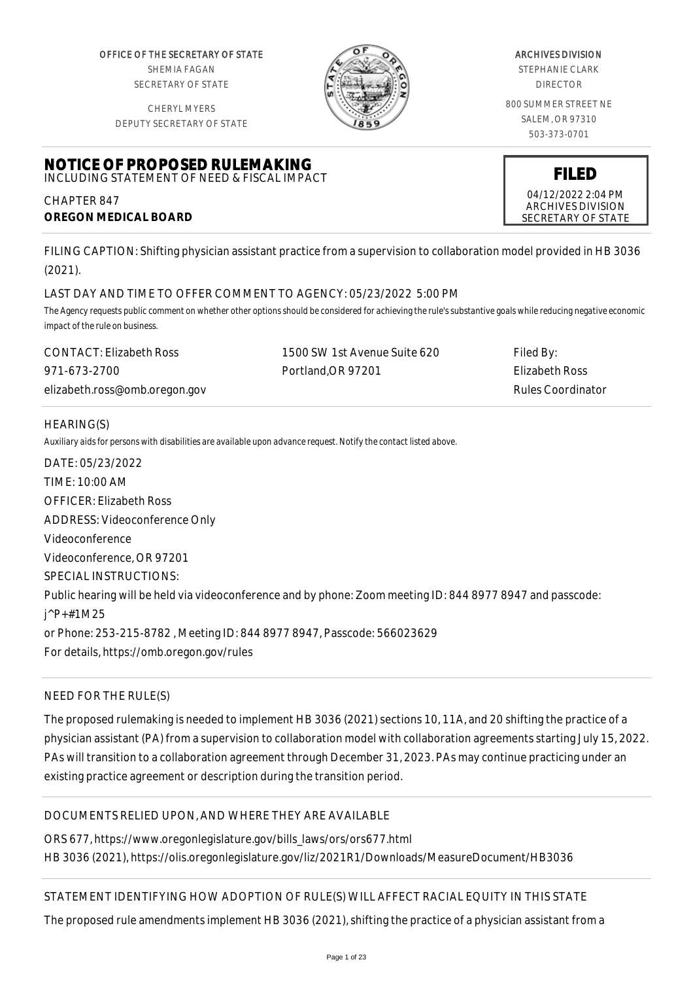OFFICE OF THE SECRETARY OF STATE SHEMIA FAGAN SECRETARY OF STATE

CHERYL MYERS



#### ARCHIVES DIVISION

STEPHANIE CLARK DIRECTOR

800 SUMMER STREET NE SALEM, OR 97310 503-373-0701

> **FILED** 04/12/2022 2:04 PM ARCHIVES DIVISION SECRETARY OF STATE

DEPUTY SECRETARY OF STATE

#### **NOTICE OF PROPOSED RULEMAKING** INCLUDING STATEMENT OF NEED & FISCAL IMPACT

CHAPTER 847 **OREGON MEDICAL BOARD**

FILING CAPTION: Shifting physician assistant practice from a supervision to collaboration model provided in HB 3036 (2021).

# LAST DAY AND TIME TO OFFER COMMENT TO AGENCY: 05/23/2022 5:00 PM

*The Agency requests public comment on whether other options should be considered for achieving the rule's substantive goals while reducing negative economic impact of the rule on business.*

| CONTACT: Elizabeth Ross       | 1500 SW 1st Avenue Suite 620 | Filed By:         |
|-------------------------------|------------------------------|-------------------|
| 971-673-2700                  | Portland.OR 97201            | Elizabeth Ross    |
| elizabeth.ross@omb.oregon.gov |                              | Rules Coordinator |

# HEARING(S)

*Auxiliary aids for persons with disabilities are available upon advance request. Notify the contact listed above.*

DATE: 05/23/2022 TIME: 10:00 AM OFFICER: Elizabeth Ross ADDRESS: Videoconference Only Videoconference Videoconference, OR 97201 SPECIAL INSTRUCTIONS: Public hearing will be held via videoconference and by phone: Zoom meeting ID: 844 8977 8947 and passcode: j^P+#1M25 or Phone: 253-215-8782 , Meeting ID: 844 8977 8947, Passcode: 566023629 For details, https://omb.oregon.gov/rules

# NEED FOR THE RULE(S)

The proposed rulemaking is needed to implement HB 3036 (2021) sections 10, 11A, and 20 shifting the practice of a physician assistant (PA) from a supervision to collaboration model with collaboration agreements starting July 15, 2022. PAs will transition to a collaboration agreement through December 31, 2023. PAs may continue practicing under an existing practice agreement or description during the transition period.

# DOCUMENTS RELIED UPON, AND WHERE THEY ARE AVAILABLE

ORS 677, https://www.oregonlegislature.gov/bills\_laws/ors/ors677.html HB 3036 (2021), https://olis.oregonlegislature.gov/liz/2021R1/Downloads/MeasureDocument/HB3036

# STATEMENT IDENTIFYING HOW ADOPTION OF RULE(S) WILL AFFECT RACIAL EQUITY IN THIS STATE

The proposed rule amendments implement HB 3036 (2021), shifting the practice of a physician assistant from a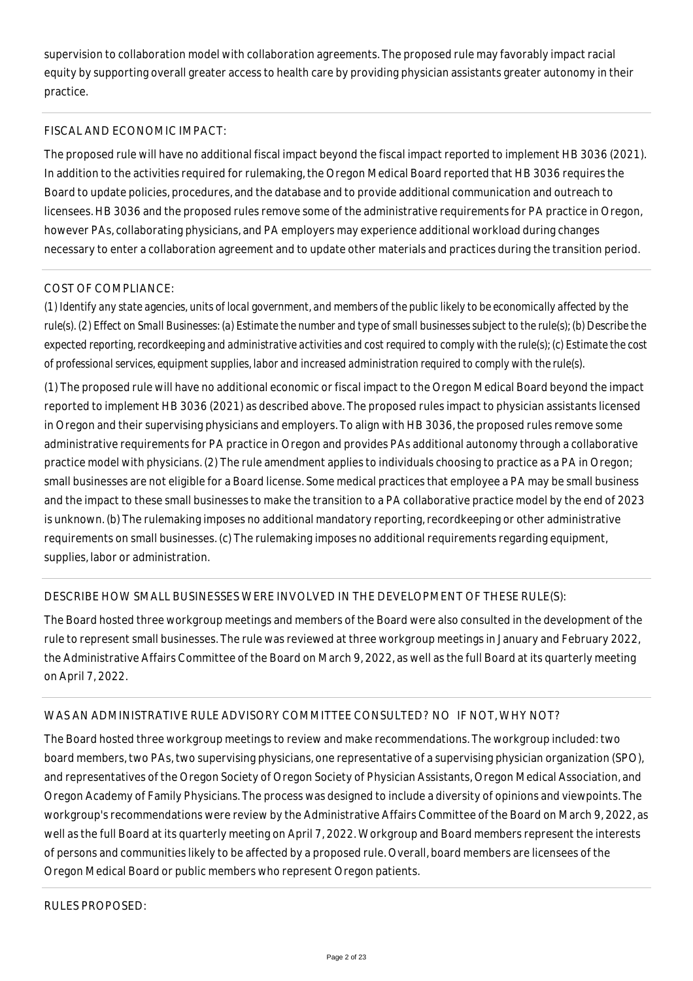supervision to collaboration model with collaboration agreements. The proposed rule may favorably impact racial equity by supporting overall greater access to health care by providing physician assistants greater autonomy in their practice.

## FISCAL AND ECONOMIC IMPACT:

The proposed rule will have no additional fiscal impact beyond the fiscal impact reported to implement HB 3036 (2021). In addition to the activities required for rulemaking, the Oregon Medical Board reported that HB 3036 requires the Board to update policies, procedures, and the database and to provide additional communication and outreach to licensees. HB 3036 and the proposed rules remove some of the administrative requirements for PA practice in Oregon, however PAs, collaborating physicians, and PA employers may experience additional workload during changes necessary to enter a collaboration agreement and to update other materials and practices during the transition period.

## COST OF COMPLIANCE:

*(1) Identify any state agencies, units of local government, and members of the public likely to be economically affected by the rule(s). (2) Effect on Small Businesses: (a) Estimate the number and type of small businesses subject to the rule(s); (b) Describe the expected reporting, recordkeeping and administrative activities and cost required to comply with the rule(s); (c) Estimate the cost of professional services, equipment supplies, labor and increased administration required to comply with the rule(s).*

(1) The proposed rule will have no additional economic or fiscal impact to the Oregon Medical Board beyond the impact reported to implement HB 3036 (2021) as described above. The proposed rules impact to physician assistants licensed in Oregon and their supervising physicians and employers. To align with HB 3036, the proposed rules remove some administrative requirements for PA practice in Oregon and provides PAs additional autonomy through a collaborative practice model with physicians. (2) The rule amendment applies to individuals choosing to practice as a PA in Oregon; small businesses are not eligible for a Board license. Some medical practices that employee a PA may be small business and the impact to these small businesses to make the transition to a PA collaborative practice model by the end of 2023 is unknown. (b) The rulemaking imposes no additional mandatory reporting, recordkeeping or other administrative requirements on small businesses. (c) The rulemaking imposes no additional requirements regarding equipment, supplies, labor or administration.

# DESCRIBE HOW SMALL BUSINESSES WERE INVOLVED IN THE DEVELOPMENT OF THESE RULE(S):

The Board hosted three workgroup meetings and members of the Board were also consulted in the development of the rule to represent small businesses. The rule was reviewed at three workgroup meetings in January and February 2022, the Administrative Affairs Committee of the Board on March 9, 2022, as well as the full Board at its quarterly meeting on April 7, 2022.

### WAS AN ADMINISTRATIVE RULE ADVISORY COMMITTEE CONSULTED? NO IF NOT, WHY NOT?

The Board hosted three workgroup meetings to review and make recommendations. The workgroup included: two board members, two PAs, two supervising physicians, one representative of a supervising physician organization (SPO), and representatives of the Oregon Society of Oregon Society of Physician Assistants, Oregon Medical Association, and Oregon Academy of Family Physicians. The process was designed to include a diversity of opinions and viewpoints. The workgroup's recommendations were review by the Administrative Affairs Committee of the Board on March 9, 2022, as well as the full Board at its quarterly meeting on April 7, 2022. Workgroup and Board members represent the interests of persons and communities likely to be affected by a proposed rule. Overall, board members are licensees of the Oregon Medical Board or public members who represent Oregon patients.

RULES PROPOSED: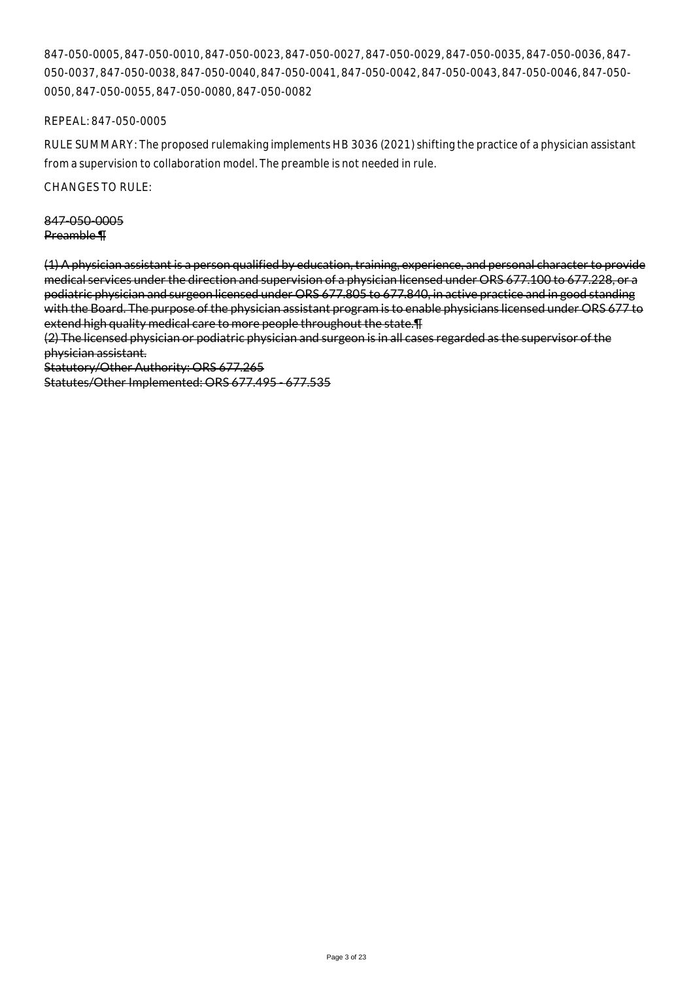847-050-0005, 847-050-0010, 847-050-0023, 847-050-0027, 847-050-0029, 847-050-0035, 847-050-0036, 847- 050-0037, 847-050-0038, 847-050-0040, 847-050-0041, 847-050-0042, 847-050-0043, 847-050-0046, 847-050- 0050, 847-050-0055, 847-050-0080, 847-050-0082

REPEAL: 847-050-0005

RULE SUMMARY: The proposed rulemaking implements HB 3036 (2021) shifting the practice of a physician assistant from a supervision to collaboration model. The preamble is not needed in rule.

CHANGES TO RULE:

847-050-0005 Preamble ¶

(1) A physician assistant is a person qualified by education, training, experience, and personal character to provide medical services under the direction and supervision of a physician licensed under ORS 677.100 to 677.228, or a podiatric physician and surgeon licensed under ORS 677.805 to 677.840, in active practice and in good standing with the Board. The purpose of the physician assistant program is to enable physicians licensed under ORS 677 to extend high quality medical care to more people throughout the state.¶

(2) The licensed physician or podiatric physician and surgeon is in all cases regarded as the supervisor of the physician assistant.

Statutory/Other Authority: ORS 677.265

Statutes/Other Implemented: ORS 677.495 - 677.535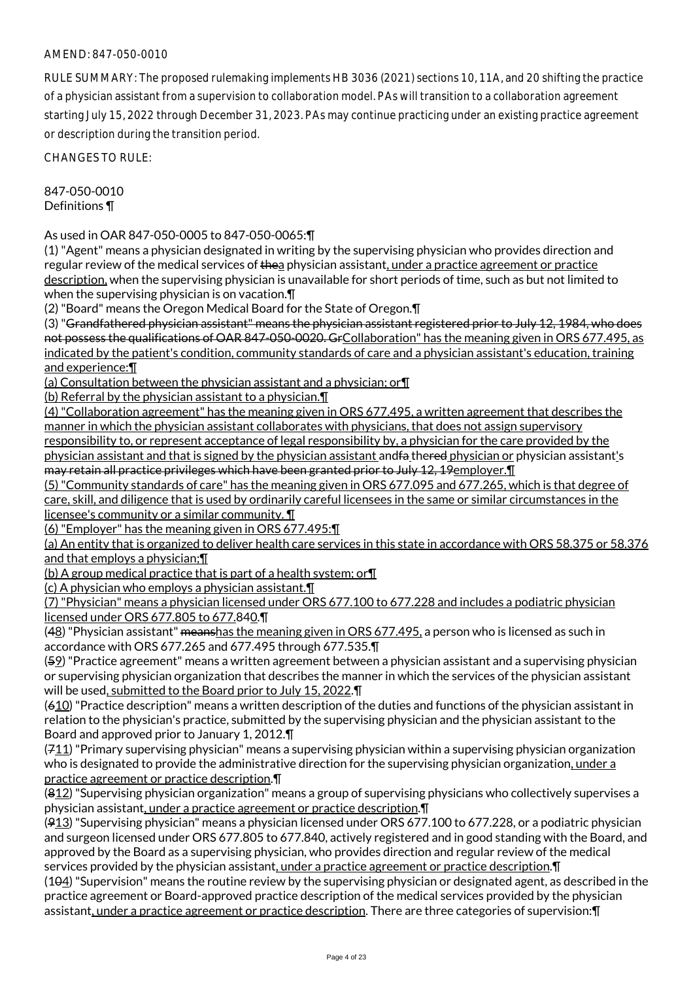RULE SUMMARY: The proposed rulemaking implements HB 3036 (2021) sections 10, 11A, and 20 shifting the practice of a physician assistant from a supervision to collaboration model. PAs will transition to a collaboration agreement starting July 15, 2022 through December 31, 2023. PAs may continue practicing under an existing practice agreement or description during the transition period.

CHANGES TO RULE:

847-050-0010 Definitions ¶

As used in OAR 847-050-0005 to 847-050-0065:¶

(1) "Agent" means a physician designated in writing by the supervising physician who provides direction and regular review of the medical services of thea physician assistant, under a practice agreement or practice description, when the supervising physician is unavailable for short periods of time, such as but not limited to when the supervising physician is on vacation.¶

(2) "Board" means the Oregon Medical Board for the State of Oregon.¶

(3) "Grandfathered physician assistant" means the physician assistant registered prior to July 12, 1984, who does not possess the qualifications of OAR 847-050-0020. GrCollaboration" has the meaning given in ORS 677.495, as indicated by the patient's condition, community standards of care and a physician assistant's education, training and experience:¶

(a) Consultation between the physician assistant and a physician; or¶

(b) Referral by the physician assistant to a physician.¶

(4) "Collaboration agreement" has the meaning given in ORS 677.495, a written agreement that describes the manner in which the physician assistant collaborates with physicians, that does not assign supervisory responsibility to, or represent acceptance of legal responsibility by, a physician for the care provided by the physician assistant and that is signed by the physician assistant andfa thered physician or physician assistant's may retain all practice privileges which have been granted prior to July 12, 19employer.¶

(5) "Community standards of care" has the meaning given in ORS 677.095 and 677.265, which is that degree of care, skill, and diligence that is used by ordinarily careful licensees in the same or similar circumstances in the licensee's community or a similar community. ¶

(6) "Employer" has the meaning given in ORS 677.495:¶

(a) An entity that is organized to deliver health care services in this state in accordance with ORS 58.375 or 58.376 and that employs a physician;¶

(b) A group medical practice that is part of a health system; or¶

(c) A physician who employs a physician assistant.¶

(7) "Physician" means a physician licensed under ORS 677.100 to 677.228 and includes a podiatric physician licensed under ORS 677.805 to 677.840.¶

(48) "Physician assistant" meanshas the meaning given in ORS 677.495, a person who is licensed as such in accordance with ORS 677.265 and 677.495 through 677.535.¶

(59) "Practice agreement" means a written agreement between a physician assistant and a supervising physician or supervising physician organization that describes the manner in which the services of the physician assistant will be used, submitted to the Board prior to July 15, 2022.

(610) "Practice description" means a written description of the duties and functions of the physician assistant in relation to the physician's practice, submitted by the supervising physician and the physician assistant to the Board and approved prior to January 1, 2012.¶

 $(711)$  "Primary supervising physician" means a supervising physician within a supervising physician organization who is designated to provide the administrative direction for the supervising physician organization, under a practice agreement or practice description.¶

 $(812)$  "Supervising physician organization" means a group of supervising physicians who collectively supervises a physician assistant, under a practice agreement or practice description.¶

(913) "Supervising physician" means a physician licensed under ORS 677.100 to 677.228, or a podiatric physician and surgeon licensed under ORS 677.805 to 677.840, actively registered and in good standing with the Board, and approved by the Board as a supervising physician, who provides direction and regular review of the medical services provided by the physician assistant, under a practice agreement or practice description. T

 $(104)$  "Supervision" means the routine review by the supervising physician or designated agent, as described in the practice agreement or Board-approved practice description of the medical services provided by the physician assistant, under a practice agreement or practice description. There are three categories of supervision: ¶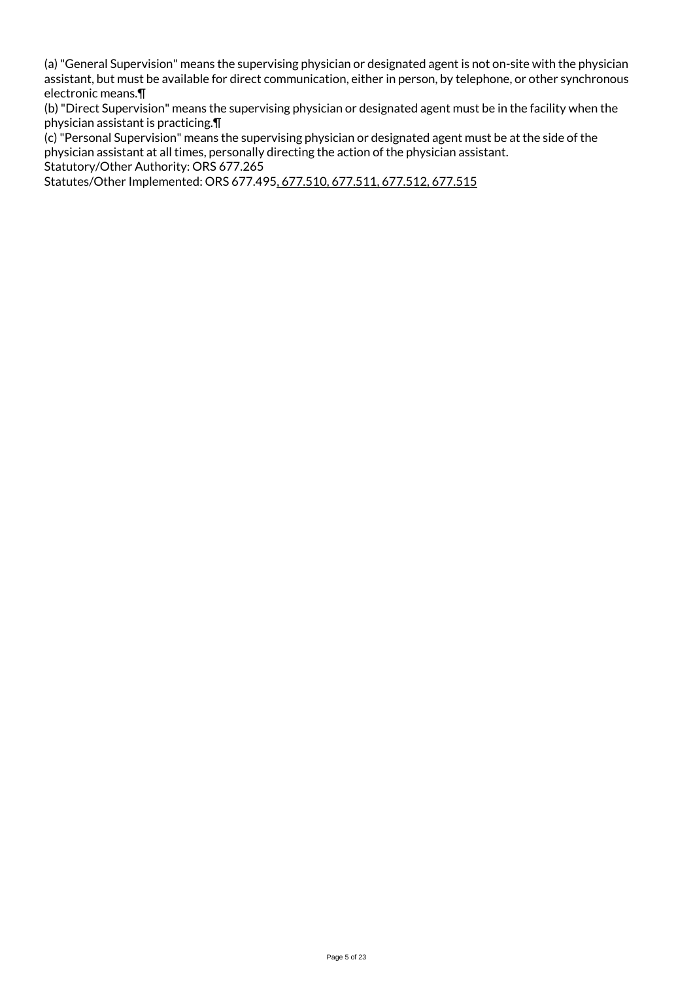(a) "General Supervision" means the supervising physician or designated agent is not on-site with the physician assistant, but must be available for direct communication, either in person, by telephone, or other synchronous electronic means.¶

(b) "Direct Supervision" means the supervising physician or designated agent must be in the facility when the physician assistant is practicing.¶

(c) "Personal Supervision" means the supervising physician or designated agent must be at the side of the physician assistant at all times, personally directing the action of the physician assistant.

Statutory/Other Authority: ORS 677.265

Statutes/Other Implemented: ORS 677.495, 677.510, 677.511, 677.512, 677.515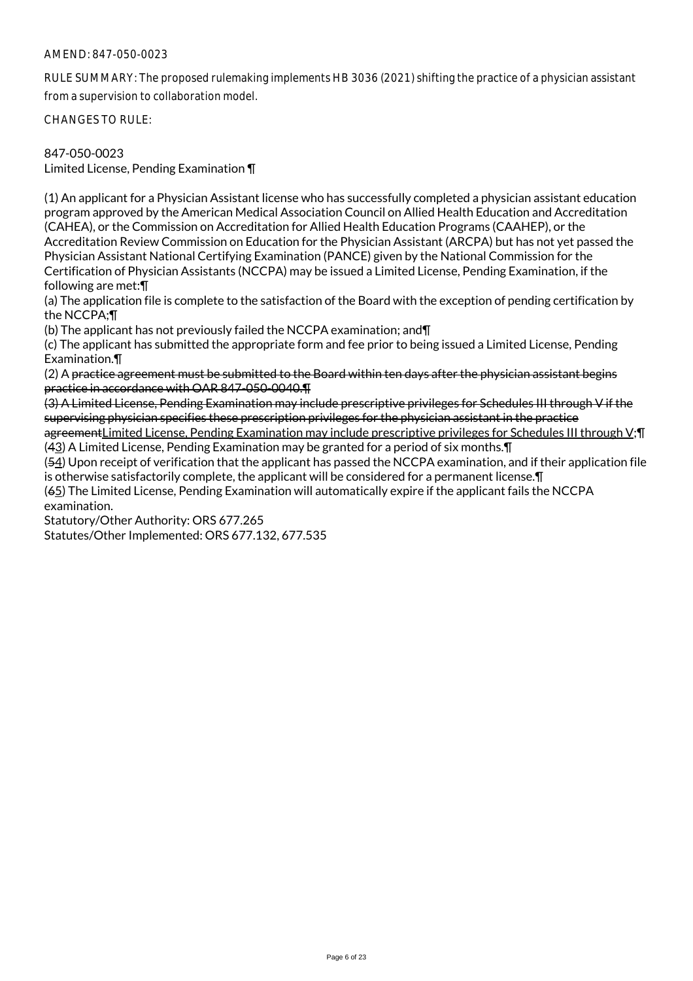RULE SUMMARY: The proposed rulemaking implements HB 3036 (2021) shifting the practice of a physician assistant from a supervision to collaboration model.

CHANGES TO RULE:

# 847-050-0023

Limited License, Pending Examination ¶

(1) An applicant for a Physician Assistant license who has successfully completed a physician assistant education program approved by the American Medical Association Council on Allied Health Education and Accreditation (CAHEA), or the Commission on Accreditation for Allied Health Education Programs (CAAHEP), or the Accreditation Review Commission on Education for the Physician Assistant (ARCPA) but has not yet passed the Physician Assistant National Certifying Examination (PANCE) given by the National Commission for the Certification of Physician Assistants (NCCPA) may be issued a Limited License, Pending Examination, if the following are met:¶

(a) The application file is complete to the satisfaction of the Board with the exception of pending certification by the NCCPA;¶

(b) The applicant has not previously failed the NCCPA examination; and¶

(c) The applicant has submitted the appropriate form and fee prior to being issued a Limited License, Pending Examination.¶

(2) A practice agreement must be submitted to the Board within ten days after the physician assistant begins practice in accordance with OAR 847-050-0040.¶

(3) A Limited License, Pending Examination may include prescriptive privileges for Schedules III through V if the supervising physician specifies these prescription privileges for the physician assistant in the practice

agreementLimited License, Pending Examination may include prescriptive privileges for Schedules III through V;¶ (43) A Limited License, Pending Examination may be granted for a period of six months.¶

(54) Upon receipt of verification that the applicant has passed the NCCPA examination, and if their application file is otherwise satisfactorily complete, the applicant will be considered for a permanent license.¶

(65) The Limited License, Pending Examination will automatically expire if the applicant fails the NCCPA examination.

Statutory/Other Authority: ORS 677.265

Statutes/Other Implemented: ORS 677.132, 677.535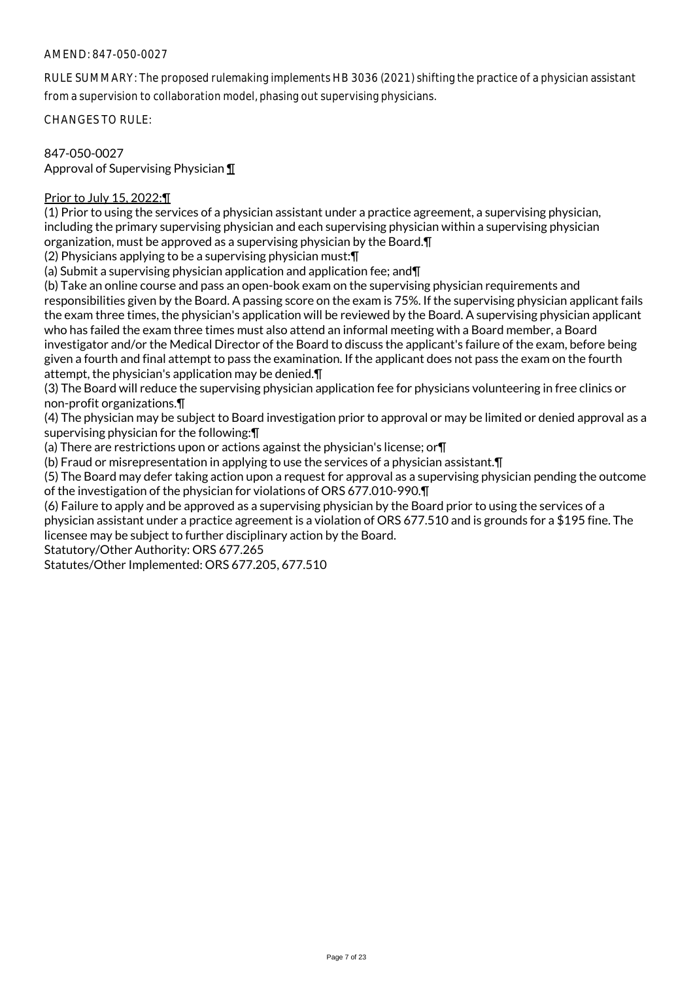RULE SUMMARY: The proposed rulemaking implements HB 3036 (2021) shifting the practice of a physician assistant from a supervision to collaboration model, phasing out supervising physicians.

CHANGES TO RULE:

847-050-0027 Approval of Supervising Physician ¶

# Prior to July 15, 2022:¶

(1) Prior to using the services of a physician assistant under a practice agreement, a supervising physician, including the primary supervising physician and each supervising physician within a supervising physician organization, must be approved as a supervising physician by the Board.¶

(2) Physicians applying to be a supervising physician must:¶

(a) Submit a supervising physician application and application fee; and¶

(b) Take an online course and pass an open-book exam on the supervising physician requirements and responsibilities given by the Board. A passing score on the exam is 75%. If the supervising physician applicant fails the exam three times, the physician's application will be reviewed by the Board. A supervising physician applicant who has failed the exam three times must also attend an informal meeting with a Board member, a Board investigator and/or the Medical Director of the Board to discuss the applicant's failure of the exam, before being given a fourth and final attempt to pass the examination. If the applicant does not pass the exam on the fourth attempt, the physician's application may be denied.¶

(3) The Board will reduce the supervising physician application fee for physicians volunteering in free clinics or non-profit organizations.¶

(4) The physician may be subject to Board investigation prior to approval or may be limited or denied approval as a supervising physician for the following:¶

(a) There are restrictions upon or actions against the physician's license; or¶

(b) Fraud or misrepresentation in applying to use the services of a physician assistant.¶

(5) The Board may defer taking action upon a request for approval as a supervising physician pending the outcome of the investigation of the physician for violations of ORS 677.010-990.¶

(6) Failure to apply and be approved as a supervising physician by the Board prior to using the services of a physician assistant under a practice agreement is a violation of ORS 677.510 and is grounds for a \$195 fine. The licensee may be subject to further disciplinary action by the Board.

Statutory/Other Authority: ORS 677.265

Statutes/Other Implemented: ORS 677.205, 677.510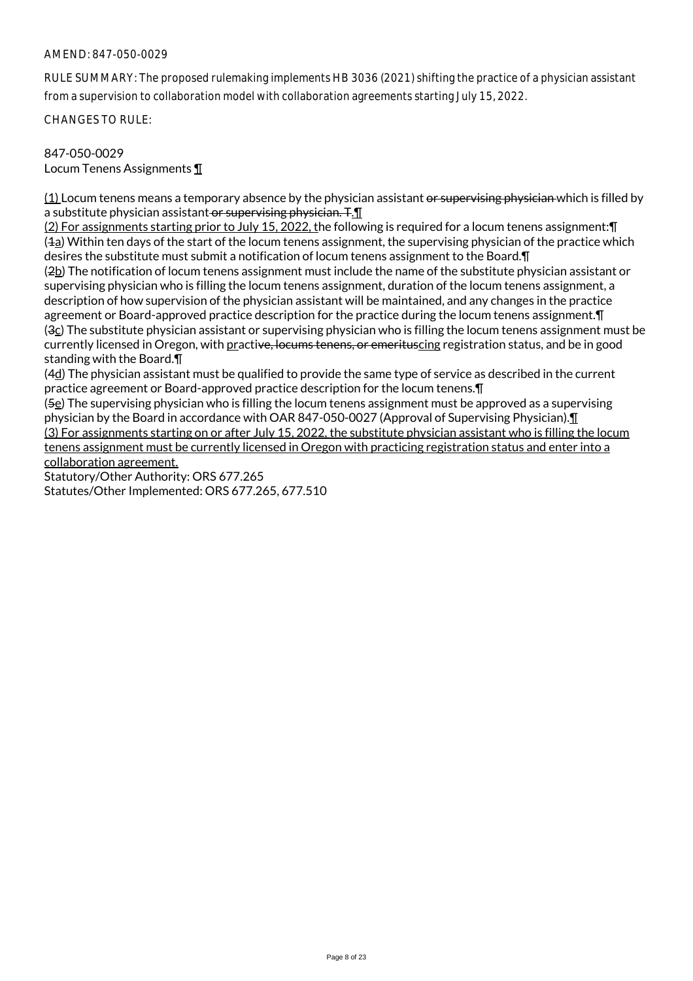RULE SUMMARY: The proposed rulemaking implements HB 3036 (2021) shifting the practice of a physician assistant from a supervision to collaboration model with collaboration agreements starting July 15, 2022.

CHANGES TO RULE:

# 847-050-0029

Locum Tenens Assignments ¶

 $(1)$  Locum tenens means a temporary absence by the physician assistant or supervising physician which is filled by a substitute physician assistant or supervising physician. T. T

(2) For assignments starting prior to July 15, 2022, the following is required for a locum tenens assignment:¶ (1a) Within ten days of the start of the locum tenens assignment, the supervising physician of the practice which desires the substitute must submit a notification of locum tenens assignment to the Board.¶ (2b) The notification of locum tenens assignment must include the name of the substitute physician assistant or supervising physician who is filling the locum tenens assignment, duration of the locum tenens assignment, a description of how supervision of the physician assistant will be maintained, and any changes in the practice agreement or Board-approved practice description for the practice during the locum tenens assignment.¶ (3c) The substitute physician assistant or supervising physician who is filling the locum tenens assignment must be currently licensed in Oregon, with practive, locums tenens, or emerituscing registration status, and be in good standing with the Board.¶

(4d) The physician assistant must be qualified to provide the same type of service as described in the current practice agreement or Board-approved practice description for the locum tenens.¶

(5e) The supervising physician who is filling the locum tenens assignment must be approved as a supervising physician by the Board in accordance with OAR 847-050-0027 (Approval of Supervising Physician).¶ (3) For assignments starting on or after July 15, 2022, the substitute physician assistant who is filling the locum tenens assignment must be currently licensed in Oregon with practicing registration status and enter into a collaboration agreement.

Statutory/Other Authority: ORS 677.265 Statutes/Other Implemented: ORS 677.265, 677.510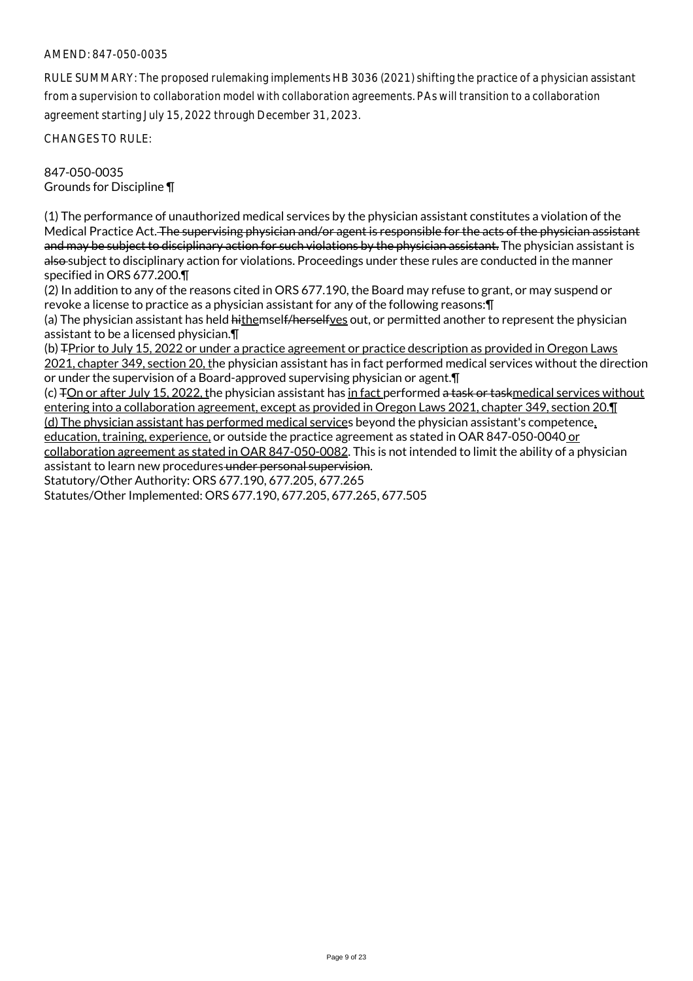RULE SUMMARY: The proposed rulemaking implements HB 3036 (2021) shifting the practice of a physician assistant from a supervision to collaboration model with collaboration agreements. PAs will transition to a collaboration agreement starting July 15, 2022 through December 31, 2023.

CHANGES TO RULE:

847-050-0035 Grounds for Discipline ¶

(1) The performance of unauthorized medical services by the physician assistant constitutes a violation of the Medical Practice Act. The supervising physician and/or agent is responsible for the acts of the physician assistant and may be subject to disciplinary action for such violations by the physician assistant. The physician assistant is also subject to disciplinary action for violations. Proceedings under these rules are conducted in the manner specified in ORS 677.200.¶

(2) In addition to any of the reasons cited in ORS 677.190, the Board may refuse to grant, or may suspend or revoke a license to practice as a physician assistant for any of the following reasons:¶

(a) The physician assistant has held hithemself/herselfves out, or permitted another to represent the physician assistant to be a licensed physician.¶

(b) TPrior to July 15, 2022 or under a practice agreement or practice description as provided in Oregon Laws 2021, chapter 349, section 20, the physician assistant has in fact performed medical services without the direction or under the supervision of a Board-approved supervising physician or agent.¶

(c) TOn or after July 15, 2022, the physician assistant has in fact performed a task or taskmedical services without entering into a collaboration agreement, except as provided in Oregon Laws 2021, chapter 349, section 20.¶ (d) The physician assistant has performed medical services beyond the physician assistant's competence, education, training, experience, or outside the practice agreement as stated in OAR 847-050-0040 or collaboration agreement as stated in OAR 847-050-0082. This is not intended to limit the ability of a physician assistant to learn new procedures under personal supervision. Statutory/Other Authority: ORS 677.190, 677.205, 677.265

Statutes/Other Implemented: ORS 677.190, 677.205, 677.265, 677.505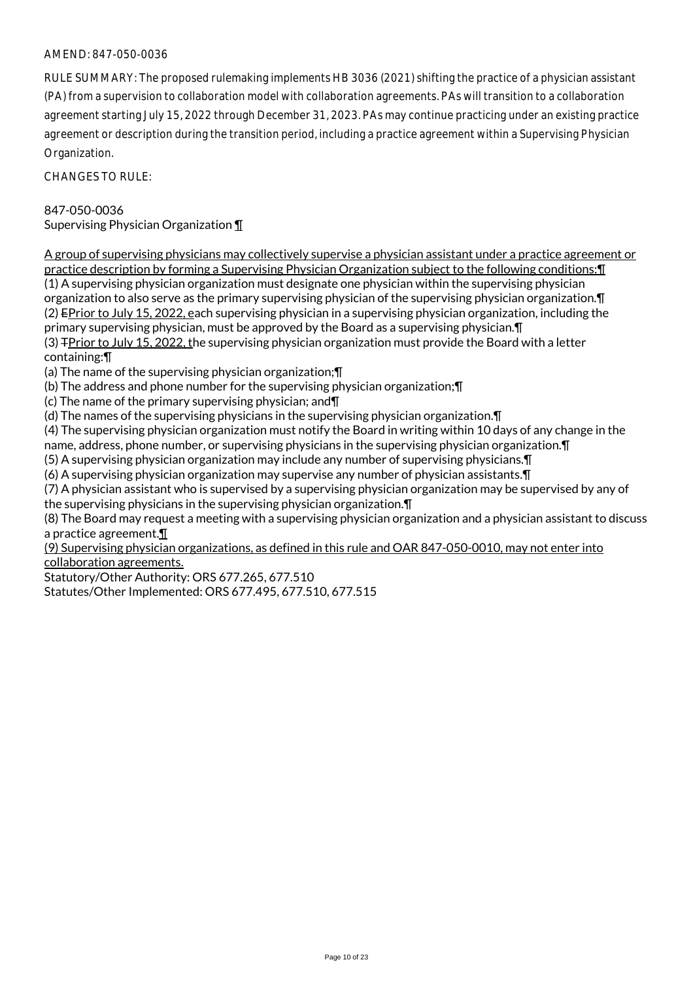RULE SUMMARY: The proposed rulemaking implements HB 3036 (2021) shifting the practice of a physician assistant (PA) from a supervision to collaboration model with collaboration agreements. PAs will transition to a collaboration agreement starting July 15, 2022 through December 31, 2023. PAs may continue practicing under an existing practice agreement or description during the transition period, including a practice agreement within a Supervising Physician Organization.

CHANGES TO RULE:

# 847-050-0036

Supervising Physician Organization ¶

A group of supervising physicians may collectively supervise a physician assistant under a practice agreement or practice description by forming a Supervising Physician Organization subject to the following conditions:¶ (1) A supervising physician organization must designate one physician within the supervising physician organization to also serve as the primary supervising physician of the supervising physician organization.¶ (2) EPrior to July 15, 2022, each supervising physician in a supervising physician organization, including the primary supervising physician, must be approved by the Board as a supervising physician.¶ (3) TPrior to July 15, 2022, the supervising physician organization must provide the Board with a letter containing:¶

(a) The name of the supervising physician organization;¶

(b) The address and phone number for the supervising physician organization;¶

(c) The name of the primary supervising physician; and¶

(d) The names of the supervising physicians in the supervising physician organization.¶

(4) The supervising physician organization must notify the Board in writing within 10 days of any change in the name, address, phone number, or supervising physicians in the supervising physician organization.¶

(5) A supervising physician organization may include any number of supervising physicians.¶

(6) A supervising physician organization may supervise any number of physician assistants.¶

(7) A physician assistant who is supervised by a supervising physician organization may be supervised by any of the supervising physicians in the supervising physician organization.¶

(8) The Board may request a meeting with a supervising physician organization and a physician assistant to discuss a practice agreement.¶

(9) Supervising physician organizations, as defined in this rule and OAR 847-050-0010, may not enter into collaboration agreements.

Statutory/Other Authority: ORS 677.265, 677.510

Statutes/Other Implemented: ORS 677.495, 677.510, 677.515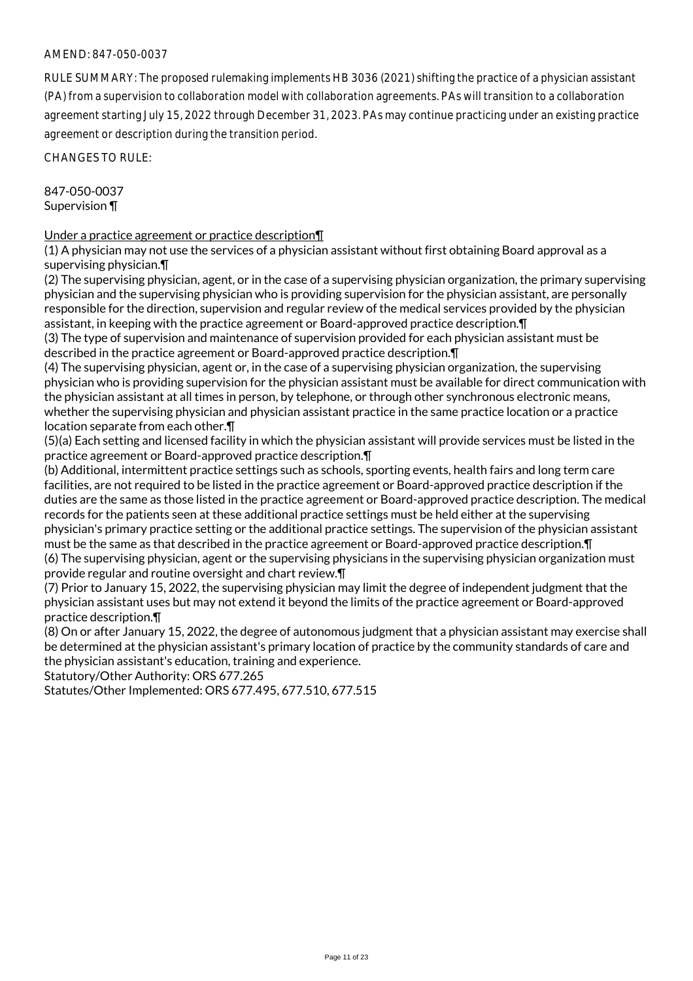RULE SUMMARY: The proposed rulemaking implements HB 3036 (2021) shifting the practice of a physician assistant (PA) from a supervision to collaboration model with collaboration agreements. PAs will transition to a collaboration agreement starting July 15, 2022 through December 31, 2023. PAs may continue practicing under an existing practice agreement or description during the transition period.

CHANGES TO RULE:

847-050-0037 Supervision ¶

### Under a practice agreement or practice description¶

(1) A physician may not use the services of a physician assistant without first obtaining Board approval as a supervising physician.¶

(2) The supervising physician, agent, or in the case of a supervising physician organization, the primary supervising physician and the supervising physician who is providing supervision for the physician assistant, are personally responsible for the direction, supervision and regular review of the medical services provided by the physician assistant, in keeping with the practice agreement or Board-approved practice description.¶

(3) The type of supervision and maintenance of supervision provided for each physician assistant must be described in the practice agreement or Board-approved practice description.¶

(4) The supervising physician, agent or, in the case of a supervising physician organization, the supervising physician who is providing supervision for the physician assistant must be available for direct communication with the physician assistant at all times in person, by telephone, or through other synchronous electronic means, whether the supervising physician and physician assistant practice in the same practice location or a practice location separate from each other.¶

(5)(a) Each setting and licensed facility in which the physician assistant will provide services must be listed in the practice agreement or Board-approved practice description.¶

(b) Additional, intermittent practice settings such as schools, sporting events, health fairs and long term care facilities, are not required to be listed in the practice agreement or Board-approved practice description if the duties are the same as those listed in the practice agreement or Board-approved practice description. The medical records for the patients seen at these additional practice settings must be held either at the supervising physician's primary practice setting or the additional practice settings. The supervision of the physician assistant must be the same as that described in the practice agreement or Board-approved practice description.¶ (6) The supervising physician, agent or the supervising physicians in the supervising physician organization must provide regular and routine oversight and chart review.¶

(7) Prior to January 15, 2022, the supervising physician may limit the degree of independent judgment that the physician assistant uses but may not extend it beyond the limits of the practice agreement or Board-approved practice description.¶

(8) On or after January 15, 2022, the degree of autonomous judgment that a physician assistant may exercise shall be determined at the physician assistant's primary location of practice by the community standards of care and the physician assistant's education, training and experience.

Statutory/Other Authority: ORS 677.265

Statutes/Other Implemented: ORS 677.495, 677.510, 677.515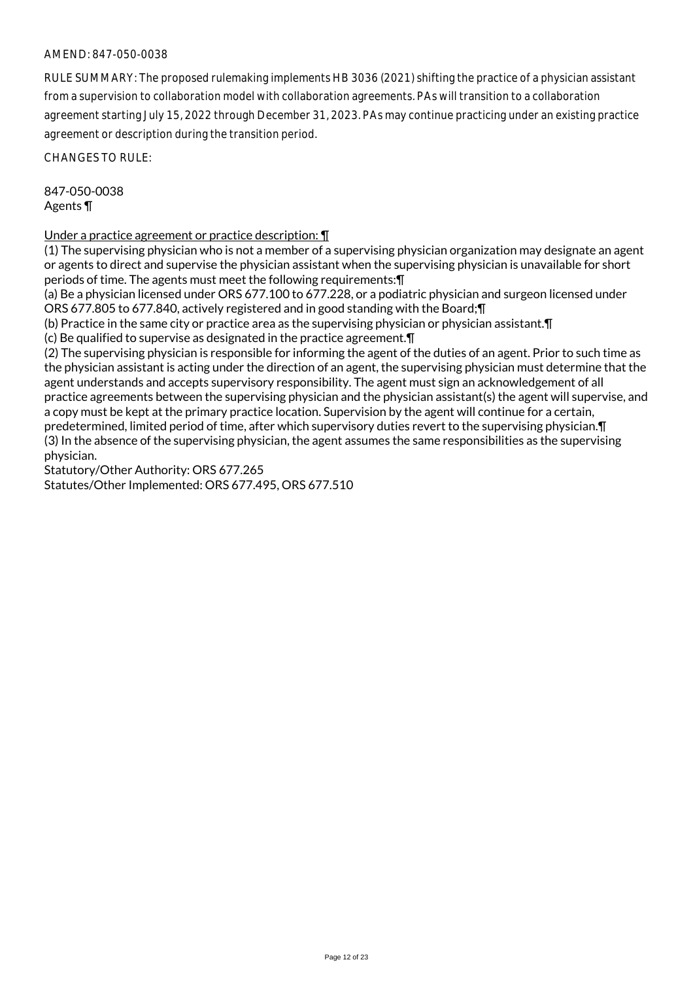RULE SUMMARY: The proposed rulemaking implements HB 3036 (2021) shifting the practice of a physician assistant from a supervision to collaboration model with collaboration agreements. PAs will transition to a collaboration agreement starting July 15, 2022 through December 31, 2023. PAs may continue practicing under an existing practice agreement or description during the transition period.

CHANGES TO RULE:

847-050-0038 Agents ¶

Under a practice agreement or practice description: ¶

(1) The supervising physician who is not a member of a supervising physician organization may designate an agent or agents to direct and supervise the physician assistant when the supervising physician is unavailable for short periods of time. The agents must meet the following requirements:¶

(a) Be a physician licensed under ORS 677.100 to 677.228, or a podiatric physician and surgeon licensed under ORS 677.805 to 677.840, actively registered and in good standing with the Board;¶

(b) Practice in the same city or practice area as the supervising physician or physician assistant.¶

(c) Be qualified to supervise as designated in the practice agreement.¶

(2) The supervising physician is responsible for informing the agent of the duties of an agent. Prior to such time as the physician assistant is acting under the direction of an agent, the supervising physician must determine that the agent understands and accepts supervisory responsibility. The agent must sign an acknowledgement of all practice agreements between the supervising physician and the physician assistant(s) the agent will supervise, and a copy must be kept at the primary practice location. Supervision by the agent will continue for a certain, predetermined, limited period of time, after which supervisory duties revert to the supervising physician.¶ (3) In the absence of the supervising physician, the agent assumes the same responsibilities as the supervising physician.

Statutory/Other Authority: ORS 677.265

Statutes/Other Implemented: ORS 677.495, ORS 677.510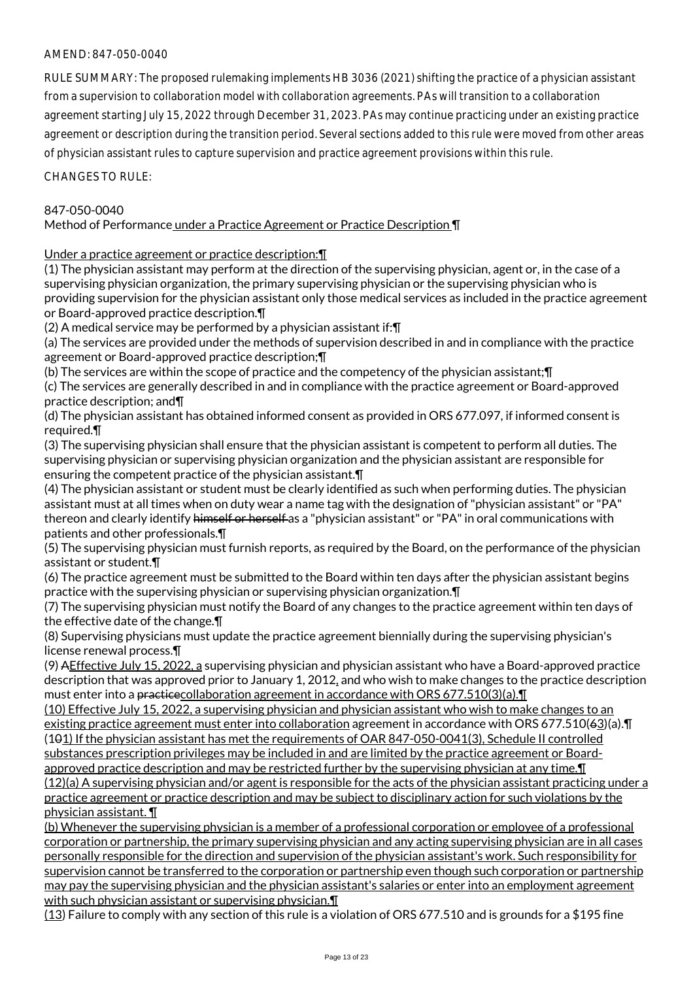RULE SUMMARY: The proposed rulemaking implements HB 3036 (2021) shifting the practice of a physician assistant from a supervision to collaboration model with collaboration agreements. PAs will transition to a collaboration agreement starting July 15, 2022 through December 31, 2023. PAs may continue practicing under an existing practice agreement or description during the transition period. Several sections added to this rule were moved from other areas of physician assistant rules to capture supervision and practice agreement provisions within this rule.

CHANGES TO RULE:

# 847-050-0040

# Method of Performance under a Practice Agreement or Practice Description ¶

Under a practice agreement or practice description:¶

(1) The physician assistant may perform at the direction of the supervising physician, agent or, in the case of a supervising physician organization, the primary supervising physician or the supervising physician who is providing supervision for the physician assistant only those medical services as included in the practice agreement or Board-approved practice description.¶

(2) A medical service may be performed by a physician assistant if:¶

(a) The services are provided under the methods of supervision described in and in compliance with the practice agreement or Board-approved practice description;¶

(b) The services are within the scope of practice and the competency of the physician assistant;¶

(c) The services are generally described in and in compliance with the practice agreement or Board-approved practice description; and¶

(d) The physician assistant has obtained informed consent as provided in ORS 677.097, if informed consent is required.¶

(3) The supervising physician shall ensure that the physician assistant is competent to perform all duties. The supervising physician or supervising physician organization and the physician assistant are responsible for ensuring the competent practice of the physician assistant.¶

(4) The physician assistant or student must be clearly identified as such when performing duties. The physician assistant must at all times when on duty wear a name tag with the designation of "physician assistant" or "PA" thereon and clearly identify himself or herself as a "physician assistant" or "PA" in oral communications with patients and other professionals.¶

(5) The supervising physician must furnish reports, as required by the Board, on the performance of the physician assistant or student.¶

(6) The practice agreement must be submitted to the Board within ten days after the physician assistant begins practice with the supervising physician or supervising physician organization.¶

(7) The supervising physician must notify the Board of any changes to the practice agreement within ten days of the effective date of the change.¶

(8) Supervising physicians must update the practice agreement biennially during the supervising physician's license renewal process.¶

(9) AEffective July 15, 2022, a supervising physician and physician assistant who have a Board-approved practice description that was approved prior to January 1, 2012, and who wish to make changes to the practice description must enter into a practicecollaboration agreement in accordance with ORS 677.510(3)(a).¶

(10) Effective July 15, 2022, a supervising physician and physician assistant who wish to make changes to an existing practice agreement must enter into collaboration agreement in accordance with ORS 677.510(63)(a).¶ (101) If the physician assistant has met the requirements of OAR 847-050-0041(3), Schedule II controlled substances prescription privileges may be included in and are limited by the practice agreement or Boardapproved practice description and may be restricted further by the supervising physician at any time.¶ (12)(a) A supervising physician and/or agent is responsible for the acts of the physician assistant practicing under a practice agreement or practice description and may be subject to disciplinary action for such violations by the physician assistant. ¶

(b) Whenever the supervising physician is a member of a professional corporation or employee of a professional corporation or partnership, the primary supervising physician and any acting supervising physician are in all cases personally responsible for the direction and supervision of the physician assistant's work. Such responsibility for supervision cannot be transferred to the corporation or partnership even though such corporation or partnership may pay the supervising physician and the physician assistant's salaries or enter into an employment agreement with such physician assistant or supervising physician.¶

(13) Failure to comply with any section of this rule is a violation of ORS 677.510 and is grounds for a \$195 fine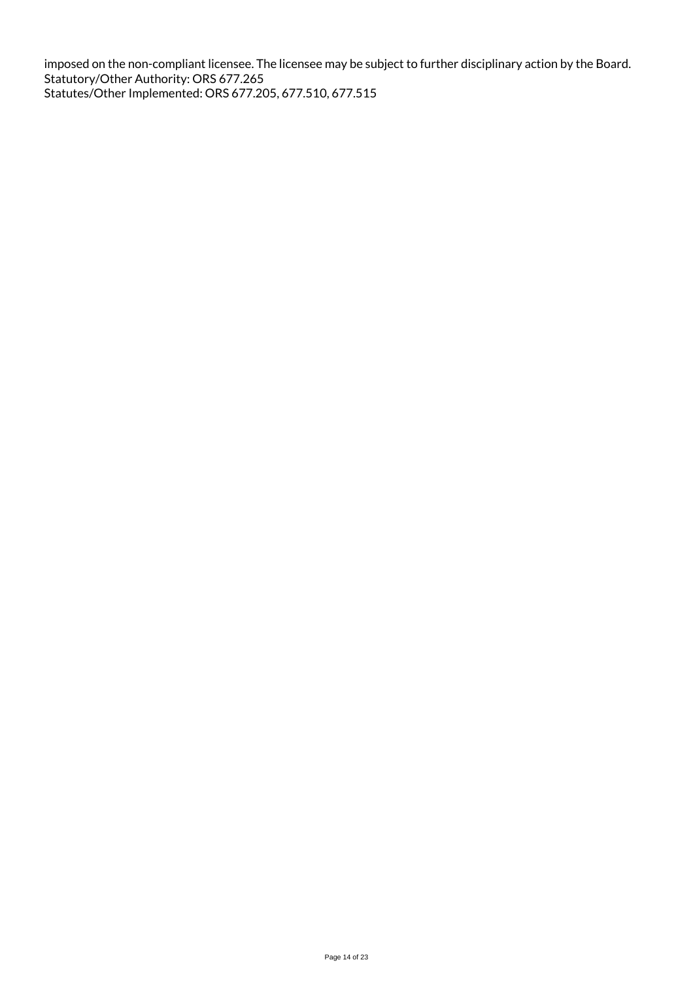imposed on the non-compliant licensee. The licensee may be subject to further disciplinary action by the Board. Statutory/Other Authority: ORS 677.265 Statutes/Other Implemented: ORS 677.205, 677.510, 677.515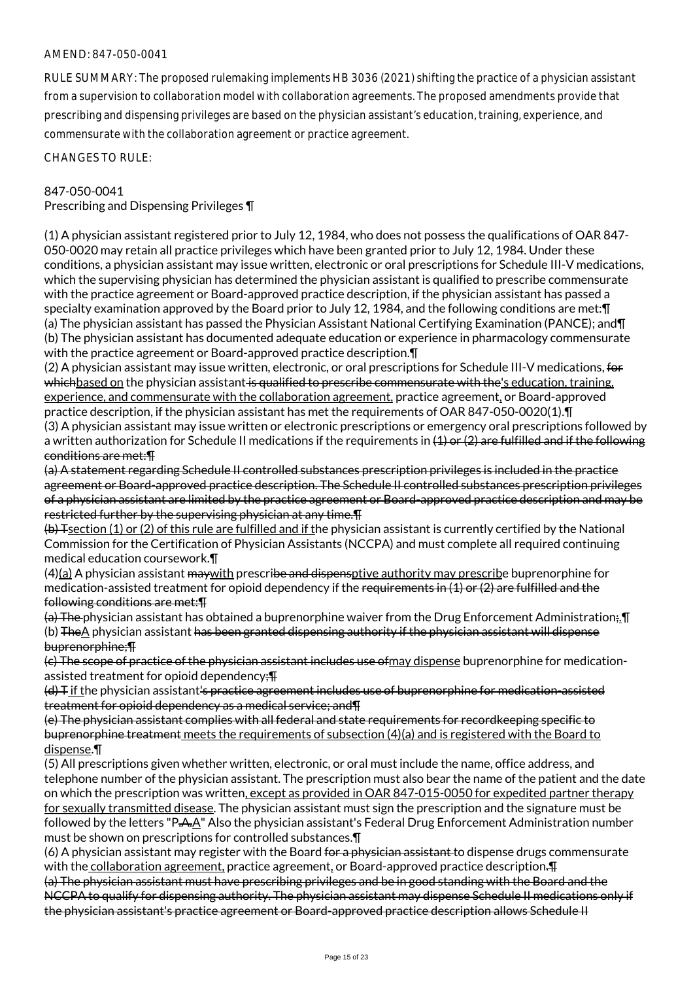RULE SUMMARY: The proposed rulemaking implements HB 3036 (2021) shifting the practice of a physician assistant from a supervision to collaboration model with collaboration agreements. The proposed amendments provide that prescribing and dispensing privileges are based on the physician assistant's education, training, experience, and commensurate with the collaboration agreement or practice agreement.

CHANGES TO RULE:

### 847-050-0041

Prescribing and Dispensing Privileges ¶

(1) A physician assistant registered prior to July 12, 1984, who does not possess the qualifications of OAR 847- 050-0020 may retain all practice privileges which have been granted prior to July 12, 1984. Under these conditions, a physician assistant may issue written, electronic or oral prescriptions for Schedule III-V medications, which the supervising physician has determined the physician assistant is qualified to prescribe commensurate with the practice agreement or Board-approved practice description, if the physician assistant has passed a specialty examination approved by the Board prior to July 12, 1984, and the following conditions are met:¶ (a) The physician assistant has passed the Physician Assistant National Certifying Examination (PANCE); and¶ (b) The physician assistant has documented adequate education or experience in pharmacology commensurate with the practice agreement or Board-approved practice description.

(2) A physician assistant may issue written, electronic, or oral prescriptions for Schedule III-V medications, for whichbased on the physician assistant is qualified to prescribe commensurate with the's education, training, experience, and commensurate with the collaboration agreement, practice agreement, or Board-approved practice description, if the physician assistant has met the requirements of OAR 847-050-0020(1).¶

(3) A physician assistant may issue written or electronic prescriptions or emergency oral prescriptions followed by a written authorization for Schedule II medications if the requirements in  $(1)$  or  $(2)$  are fulfilled and if the following conditions are met:¶

(a) A statement regarding Schedule II controlled substances prescription privileges is included in the practice agreement or Board-approved practice description. The Schedule II controlled substances prescription privileges of a physician assistant are limited by the practice agreement or Board-approved practice description and may be restricted further by the supervising physician at any time.¶

 $(b)$  Tsection (1) or (2) of this rule are fulfilled and if the physician assistant is currently certified by the National Commission for the Certification of Physician Assistants (NCCPA) and must complete all required continuing medical education coursework.¶

 $(4)(a)$  A physician assistant may with prescribe and dispensptive authority may prescribe buprenorphine for medication-assisted treatment for opioid dependency if the requirements in (1) or (2) are fulfilled and the following conditions are met:¶

(a) The physician assistant has obtained a buprenorphine waiver from the Drug Enforcement Administration;.¶ (b) TheA physician assistant has been granted dispensing authority if the physician assistant will dispense buprenorphine;¶

(c) The scope of practice of the physician assistant includes use ofmay dispense buprenorphine for medicationassisted treatment for opioid dependency;¶

(d) T if the physician assistant's practice agreement includes use of buprenorphine for medication-assisted treatment for opioid dependency as a medical service; and¶

(e) The physician assistant complies with all federal and state requirements for recordkeeping specific to buprenorphine treatment meets the requirements of subsection (4)(a) and is registered with the Board to dispense.¶

(5) All prescriptions given whether written, electronic, or oral must include the name, office address, and telephone number of the physician assistant. The prescription must also bear the name of the patient and the date on which the prescription was written, except as provided in OAR 847-015-0050 for expedited partner therapy for sexually transmitted disease. The physician assistant must sign the prescription and the signature must be followed by the letters "P.A.A" Also the physician assistant's Federal Drug Enforcement Administration number must be shown on prescriptions for controlled substances.¶

(6) A physician assistant may register with the Board for a physician assistant to dispense drugs commensurate with the collaboration agreement, practice agreement, or Board-approved practice description.  $\text{F}$ 

(a) The physician assistant must have prescribing privileges and be in good standing with the Board and the NCCPA to qualify for dispensing authority. The physician assistant may dispense Schedule II medications only if the physician assistant's practice agreement or Board-approved practice description allows Schedule II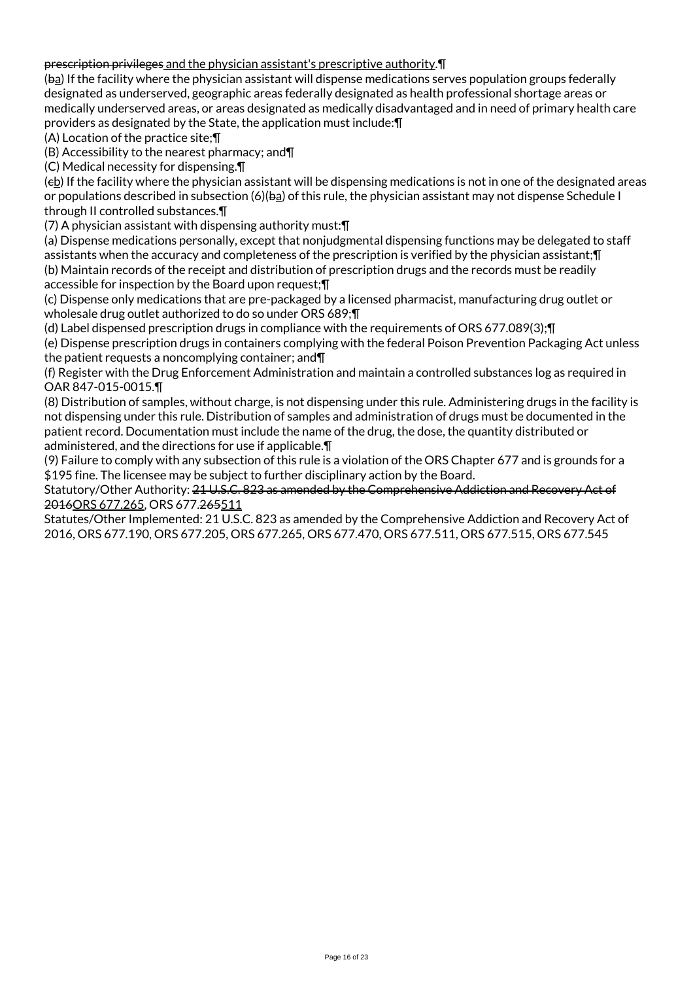# prescription privileges and the physician assistant's prescriptive authority.¶

(ba) If the facility where the physician assistant will dispense medications serves population groups federally designated as underserved, geographic areas federally designated as health professional shortage areas or medically underserved areas, or areas designated as medically disadvantaged and in need of primary health care providers as designated by the State, the application must include:¶

(A) Location of the practice site;¶

(B) Accessibility to the nearest pharmacy; and¶

(C) Medical necessity for dispensing.¶

 $(e<sub>b</sub>)$  If the facility where the physician assistant will be dispensing medications is not in one of the designated areas or populations described in subsection (6)(ba) of this rule, the physician assistant may not dispense Schedule I through II controlled substances.¶

(7) A physician assistant with dispensing authority must:¶

(a) Dispense medications personally, except that nonjudgmental dispensing functions may be delegated to staff assistants when the accuracy and completeness of the prescription is verified by the physician assistant;¶ (b) Maintain records of the receipt and distribution of prescription drugs and the records must be readily accessible for inspection by the Board upon request;¶

(c) Dispense only medications that are pre-packaged by a licensed pharmacist, manufacturing drug outlet or wholesale drug outlet authorized to do so under ORS 689;¶

(d) Label dispensed prescription drugs in compliance with the requirements of ORS 677.089(3);¶ (e) Dispense prescription drugs in containers complying with the federal Poison Prevention Packaging Act unless

the patient requests a noncomplying container; and¶ (f) Register with the Drug Enforcement Administration and maintain a controlled substances log as required in OAR 847-015-0015.¶

(8) Distribution of samples, without charge, is not dispensing under this rule. Administering drugs in the facility is not dispensing under this rule. Distribution of samples and administration of drugs must be documented in the patient record. Documentation must include the name of the drug, the dose, the quantity distributed or administered, and the directions for use if applicable.¶

(9) Failure to comply with any subsection of this rule is a violation of the ORS Chapter 677 and is grounds for a \$195 fine. The licensee may be subject to further disciplinary action by the Board.

Statutory/Other Authority: 21 U.S.C. 823 as amended by the Comprehensive Addiction and Recovery Act of 2016ORS 677.265, ORS 677.265511

Statutes/Other Implemented: 21 U.S.C. 823 as amended by the Comprehensive Addiction and Recovery Act of 2016, ORS 677.190, ORS 677.205, ORS 677.265, ORS 677.470, ORS 677.511, ORS 677.515, ORS 677.545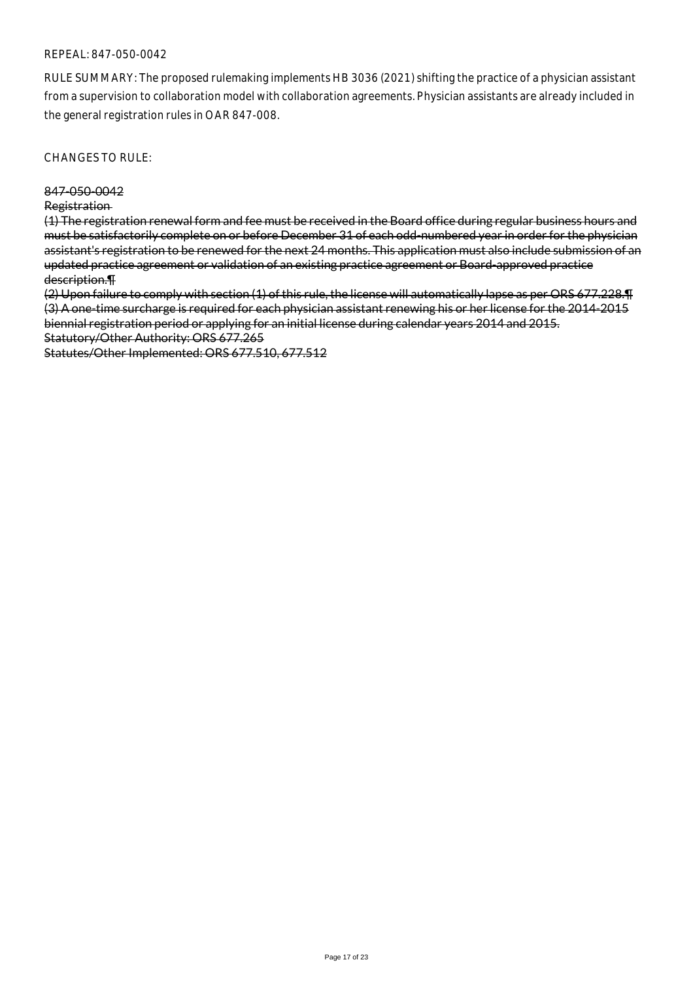### REPEAL: 847-050-0042

RULE SUMMARY: The proposed rulemaking implements HB 3036 (2021) shifting the practice of a physician assistant from a supervision to collaboration model with collaboration agreements. Physician assistants are already included in the general registration rules in OAR 847-008.

CHANGES TO RULE:

#### 847-050-0042

#### Registration

(1) The registration renewal form and fee must be received in the Board office during regular business hours and must be satisfactorily complete on or before December 31 of each odd-numbered year in order for the physician assistant's registration to be renewed for the next 24 months. This application must also include submission of an updated practice agreement or validation of an existing practice agreement or Board-approved practice description.¶

(2) Upon failure to comply with section (1) of this rule, the license will automatically lapse as per ORS 677.228.¶ (3) A one-time surcharge is required for each physician assistant renewing his or her license for the 2014-2015 biennial registration period or applying for an initial license during calendar years 2014 and 2015. Statutory/Other Authority: ORS 677.265

Statutes/Other Implemented: ORS 677.510, 677.512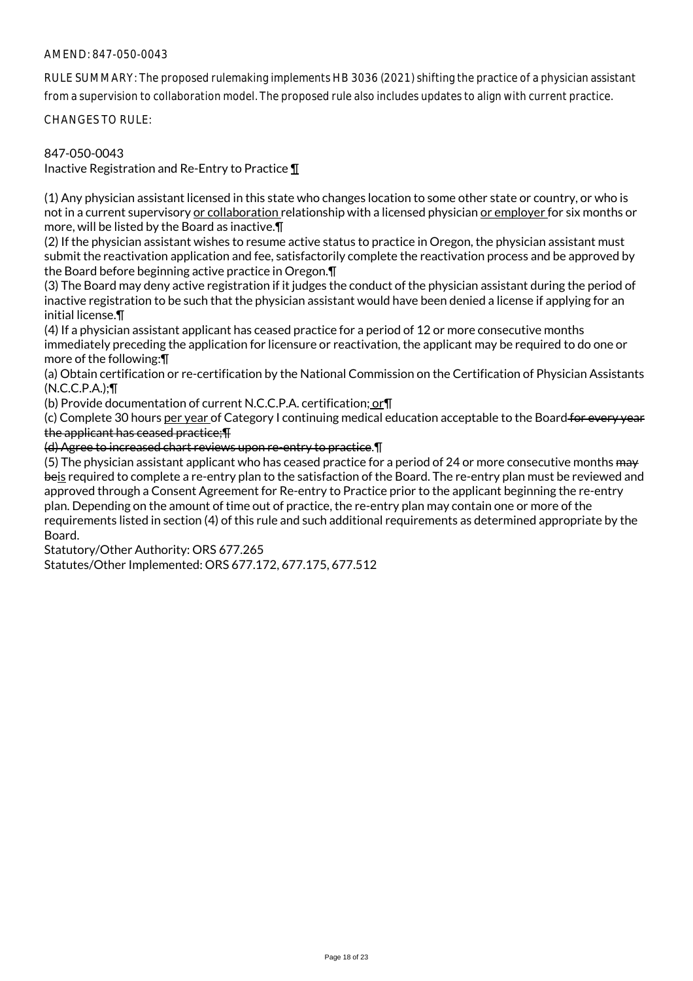RULE SUMMARY: The proposed rulemaking implements HB 3036 (2021) shifting the practice of a physician assistant from a supervision to collaboration model. The proposed rule also includes updates to align with current practice.

CHANGES TO RULE:

## 847-050-0043

Inactive Registration and Re-Entry to Practice  $\P$ 

(1) Any physician assistant licensed in this state who changes location to some other state or country, or who is not in a current supervisory or collaboration relationship with a licensed physician or employer for six months or more, will be listed by the Board as inactive.¶

(2) If the physician assistant wishes to resume active status to practice in Oregon, the physician assistant must submit the reactivation application and fee, satisfactorily complete the reactivation process and be approved by the Board before beginning active practice in Oregon.¶

(3) The Board may deny active registration if it judges the conduct of the physician assistant during the period of inactive registration to be such that the physician assistant would have been denied a license if applying for an initial license.¶

(4) If a physician assistant applicant has ceased practice for a period of 12 or more consecutive months immediately preceding the application for licensure or reactivation, the applicant may be required to do one or more of the following:¶

(a) Obtain certification or re-certification by the National Commission on the Certification of Physician Assistants (N.C.C.P.A.);¶

(b) Provide documentation of current N.C.C.P.A. certification; or¶

(c) Complete 30 hours per year of Category I continuing medical education acceptable to the Board for every year the applicant has ceased practice;¶

(d) Agree to increased chart reviews upon re-entry to practice.¶

(5) The physician assistant applicant who has ceased practice for a period of 24 or more consecutive months may beis required to complete a re-entry plan to the satisfaction of the Board. The re-entry plan must be reviewed and approved through a Consent Agreement for Re-entry to Practice prior to the applicant beginning the re-entry plan. Depending on the amount of time out of practice, the re-entry plan may contain one or more of the requirements listed in section (4) of this rule and such additional requirements as determined appropriate by the Board.

Statutory/Other Authority: ORS 677.265

Statutes/Other Implemented: ORS 677.172, 677.175, 677.512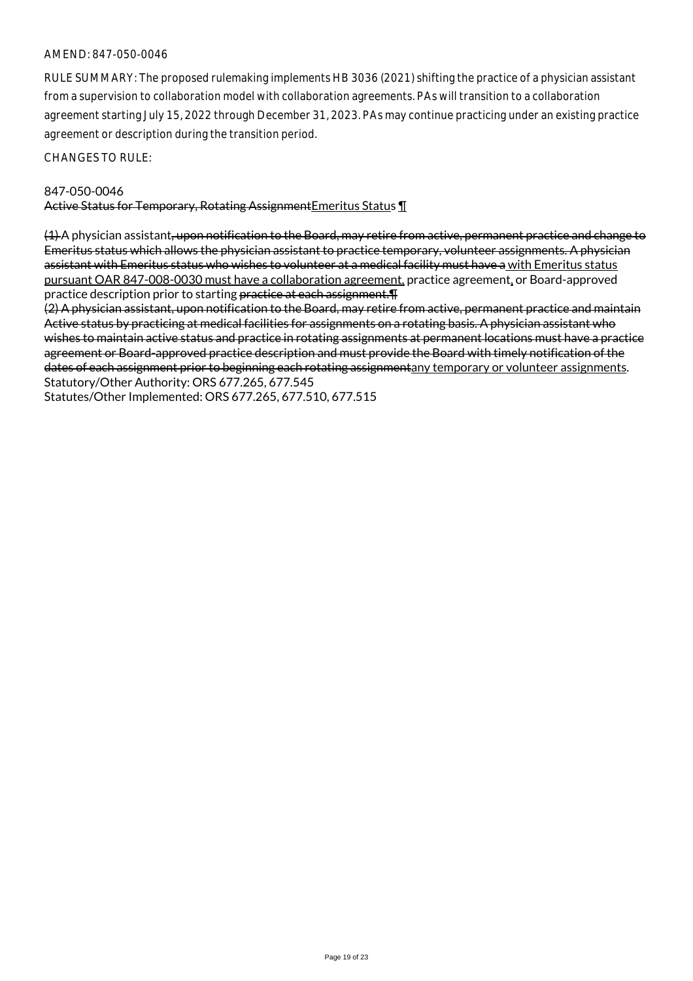RULE SUMMARY: The proposed rulemaking implements HB 3036 (2021) shifting the practice of a physician assistant from a supervision to collaboration model with collaboration agreements. PAs will transition to a collaboration agreement starting July 15, 2022 through December 31, 2023. PAs may continue practicing under an existing practice agreement or description during the transition period.

CHANGES TO RULE:

#### 847-050-0046

Active Status for Temporary, Rotating Assignment Emeritus Status 1

(1) A physician assistant, upon notification to the Board, may retire from active, permanent practice and change to Emeritus status which allows the physician assistant to practice temporary, volunteer assignments. A physician assistant with Emeritus status who wishes to volunteer at a medical facility must have a with Emeritus status pursuant OAR 847-008-0030 must have a collaboration agreement, practice agreement, or Board-approved practice description prior to starting practice at each assignment.¶

(2) A physician assistant, upon notification to the Board, may retire from active, permanent practice and maintain Active status by practicing at medical facilities for assignments on a rotating basis. A physician assistant who wishes to maintain active status and practice in rotating assignments at permanent locations must have a practice agreement or Board-approved practice description and must provide the Board with timely notification of the dates of each assignment prior to beginning each rotating assignmentany temporary or volunteer assignments. Statutory/Other Authority: ORS 677.265, 677.545

Statutes/Other Implemented: ORS 677.265, 677.510, 677.515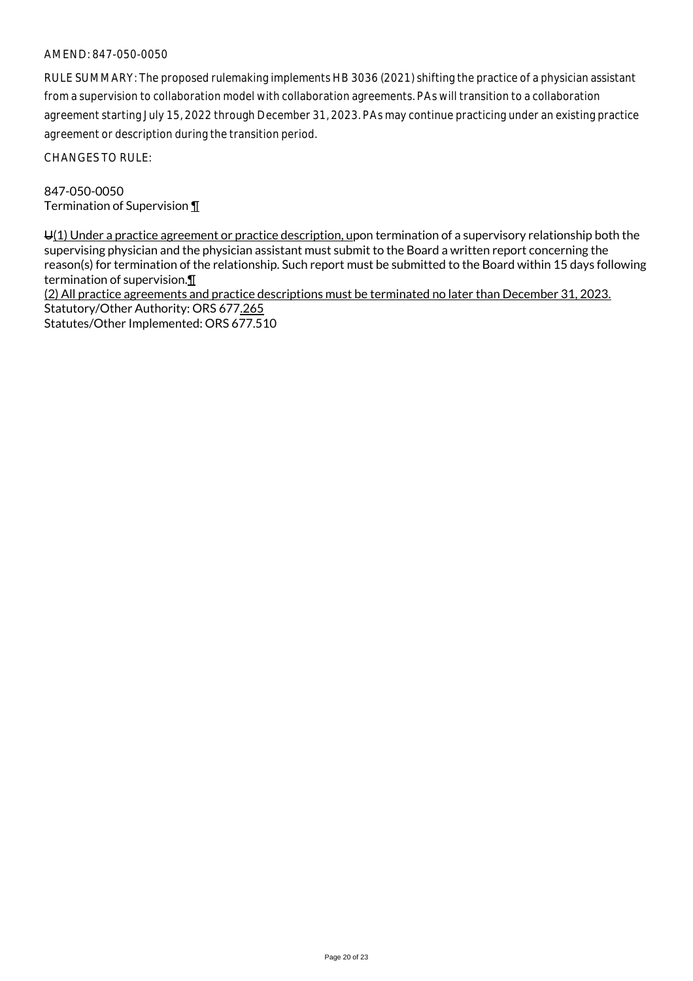RULE SUMMARY: The proposed rulemaking implements HB 3036 (2021) shifting the practice of a physician assistant from a supervision to collaboration model with collaboration agreements. PAs will transition to a collaboration agreement starting July 15, 2022 through December 31, 2023. PAs may continue practicing under an existing practice agreement or description during the transition period.

CHANGES TO RULE:

847-050-0050 Termination of Supervision ¶

 $U(1)$  Under a practice agreement or practice description, upon termination of a supervisory relationship both the supervising physician and the physician assistant must submit to the Board a written report concerning the reason(s) for termination of the relationship. Such report must be submitted to the Board within 15 days following termination of supervision.¶

(2) All practice agreements and practice descriptions must be terminated no later than December 31, 2023. Statutory/Other Authority: ORS 677.265 Statutes/Other Implemented: ORS 677.510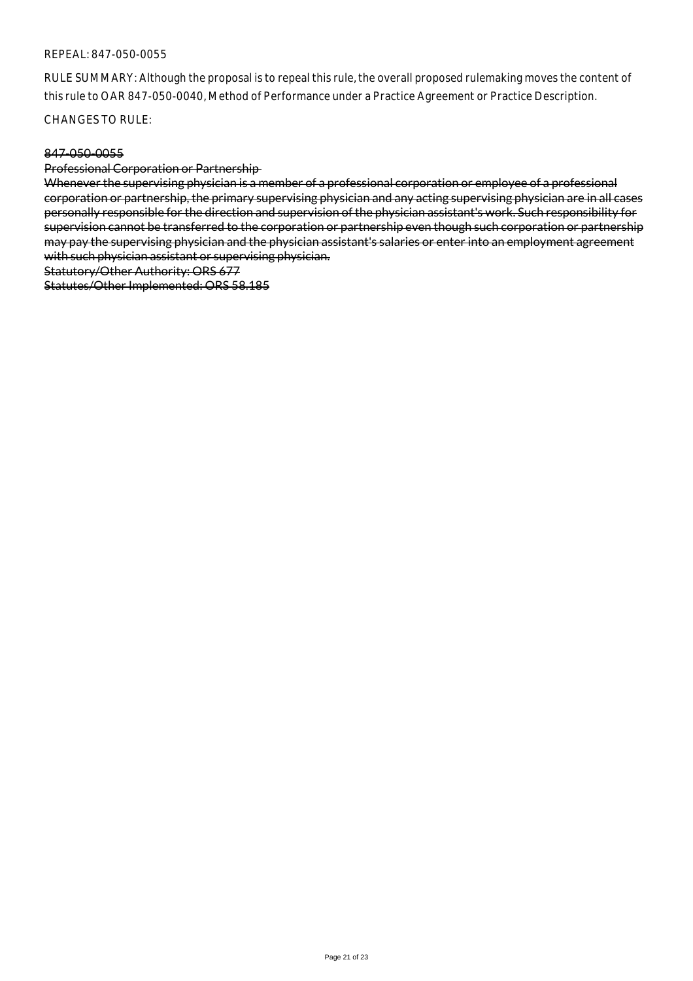### REPEAL: 847-050-0055

RULE SUMMARY: Although the proposal is to repeal this rule, the overall proposed rulemaking moves the content of this rule to OAR 847-050-0040, Method of Performance under a Practice Agreement or Practice Description.

CHANGES TO RULE:

#### 847-050-0055

Professional Corporation or Partnership

Whenever the supervising physician is a member of a professional corporation or employee of a professional corporation or partnership, the primary supervising physician and any acting supervising physician are in all cases personally responsible for the direction and supervision of the physician assistant's work. Such responsibility for supervision cannot be transferred to the corporation or partnership even though such corporation or partnership may pay the supervising physician and the physician assistant's salaries or enter into an employment agreement with such physician assistant or supervising physician.

Statutory/Other Authority: ORS 677

Statutes/Other Implemented: ORS 58.185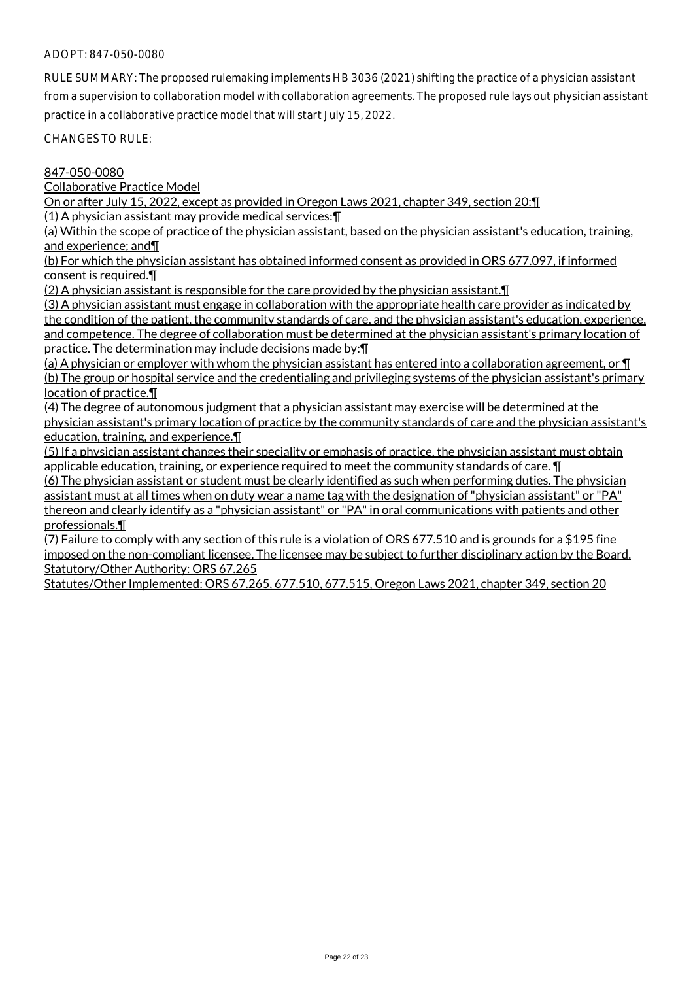# ADOPT: 847-050-0080

RULE SUMMARY: The proposed rulemaking implements HB 3036 (2021) shifting the practice of a physician assistant from a supervision to collaboration model with collaboration agreements. The proposed rule lays out physician assistant practice in a collaborative practice model that will start July 15, 2022.

CHANGES TO RULE:

#### 847-050-0080

Collaborative Practice Model

On or after July 15, 2022, except as provided in Oregon Laws 2021, chapter 349, section 20:¶

(1) A physician assistant may provide medical services:¶

(a) Within the scope of practice of the physician assistant, based on the physician assistant's education, training, and experience; and¶

(b) For which the physician assistant has obtained informed consent as provided in ORS 677.097, if informed consent is required.  $\P$ 

(2) A physician assistant is responsible for the care provided by the physician assistant.¶

(3) A physician assistant must engage in collaboration with the appropriate health care provider as indicated by the condition of the patient, the community standards of care, and the physician assistant's education, experience, and competence. The degree of collaboration must be determined at the physician assistant's primary location of practice. The determination may include decisions made by:¶

(a) A physician or employer with whom the physician assistant has entered into a collaboration agreement, or ¶ (b) The group or hospital service and the credentialing and privileging systems of the physician assistant's primary location of practice.¶

(4) The degree of autonomous judgment that a physician assistant may exercise will be determined at the physician assistant's primary location of practice by the community standards of care and the physician assistant's education, training, and experience.¶

(5) If a physician assistant changes their speciality or emphasis of practice, the physician assistant must obtain applicable education, training, or experience required to meet the community standards of care. ¶

(6) The physician assistant or student must be clearly identified as such when performing duties. The physician assistant must at all times when on duty wear a name tag with the designation of "physician assistant" or "PA" thereon and clearly identify as a "physician assistant" or "PA" in oral communications with patients and other professionals.¶

(7) Failure to comply with any section of this rule is a violation of ORS 677.510 and is grounds for a \$195 fine imposed on the non-compliant licensee. The licensee may be subject to further disciplinary action by the Board. Statutory/Other Authority: ORS 67.265

Statutes/Other Implemented: ORS 67.265, 677.510, 677.515, Oregon Laws 2021, chapter 349, section 20